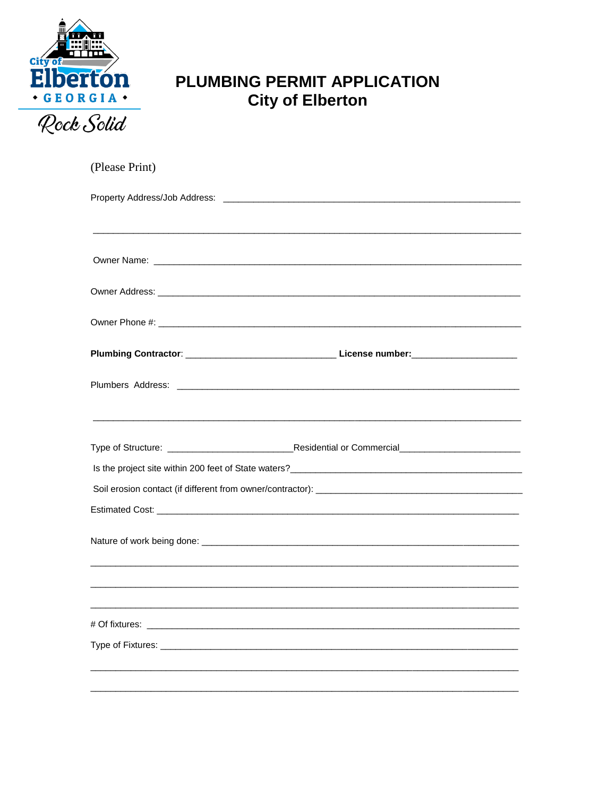

## PLUMBING PERMIT APPLICATION **City of Elberton**

| (Please Print) |  |  |
|----------------|--|--|
|                |  |  |
|                |  |  |
|                |  |  |
|                |  |  |
|                |  |  |
|                |  |  |
|                |  |  |
|                |  |  |
|                |  |  |
|                |  |  |
|                |  |  |
|                |  |  |
|                |  |  |
|                |  |  |
|                |  |  |
| # Of fixtures: |  |  |
|                |  |  |
|                |  |  |
|                |  |  |